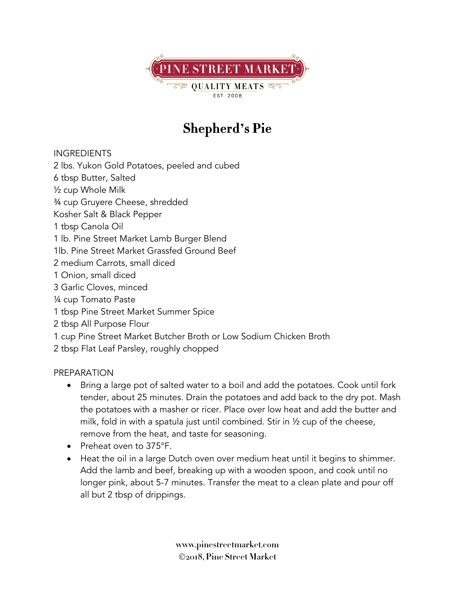

## **Shepherd's Pie**

INGREDIENTS

2 lbs. Yukon Gold Potatoes, peeled and cubed

- 6 tbsp Butter, Salted
- ½ cup Whole Milk
- ¾ cup Gruyere Cheese, shredded
- Kosher Salt & Black Pepper
- 1 tbsp Canola Oil
- 1 lb. Pine Street Market Lamb Burger Blend
- 1lb. Pine Street Market Grassfed Ground Beef
- 2 medium Carrots, small diced
- 1 Onion, small diced
- 3 Garlic Cloves, minced
- ¼ cup Tomato Paste
- 1 tbsp Pine Street Market Summer Spice
- 2 tbsp All Purpose Flour
- 1 cup Pine Street Market Butcher Broth or Low Sodium Chicken Broth
- 2 tbsp Flat Leaf Parsley, roughly chopped

## PREPARATION

- Bring a large pot of salted water to a boil and add the potatoes. Cook until fork tender, about 25 minutes. Drain the potatoes and add back to the dry pot. Mash the potatoes with a masher or ricer. Place over low heat and add the butter and milk, fold in with a spatula just until combined. Stir in ½ cup of the cheese, remove from the heat, and taste for seasoning.
- Preheat oven to 375°F.
- Heat the oil in a large Dutch oven over medium heat until it begins to shimmer. Add the lamb and beef, breaking up with a wooden spoon, and cook until no longer pink, about 5-7 minutes. Transfer the meat to a clean plate and pour off all but 2 tbsp of drippings.

**www.pinestreetmarket.com** Ó**2018, Pine Street Market**